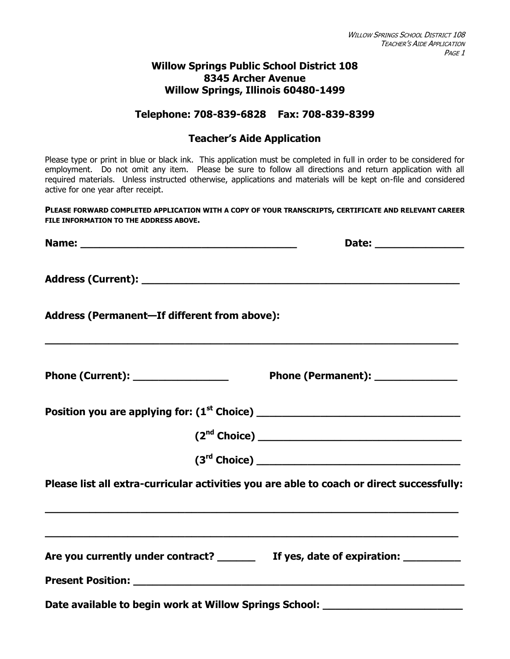#### **Willow Springs Public School District 108 8345 Archer Avenue Willow Springs, Illinois 60480-1499**

#### **Telephone: 708-839-6828 Fax: 708-839-8399**

#### **Teacher's Aide Application**

Please type or print in blue or black ink. This application must be completed in full in order to be considered for employment. Do not omit any item. Please be sure to follow all directions and return application with all required materials. Unless instructed otherwise, applications and materials will be kept on-file and considered active for one year after receipt.

**PLEASE FORWARD COMPLETED APPLICATION WITH A COPY OF YOUR TRANSCRIPTS, CERTIFICATE AND RELEVANT CAREER FILE INFORMATION TO THE ADDRESS ABOVE.**

| Address (Permanent-If different from above):                                                                         |                                                                                           |
|----------------------------------------------------------------------------------------------------------------------|-------------------------------------------------------------------------------------------|
|                                                                                                                      | Phone (Permanent): ______________                                                         |
|                                                                                                                      |                                                                                           |
|                                                                                                                      | (2 <sup>nd</sup> Choice)                                                                  |
|                                                                                                                      |                                                                                           |
| <u> 1989 - Johann John Stone, Amerikaansk politiker (d. 1989)</u>                                                    | Please list all extra-curricular activities you are able to coach or direct successfully: |
| <u> 1989 - Johann Stoff, amerikan bestein der demokratischen Stoff und der Stoff und der Stoff und der Stoff und</u> | Are you currently under contract? ________ If yes, date of expiration: _________          |
|                                                                                                                      |                                                                                           |
|                                                                                                                      | Date available to begin work at Willow Springs School: _________________________          |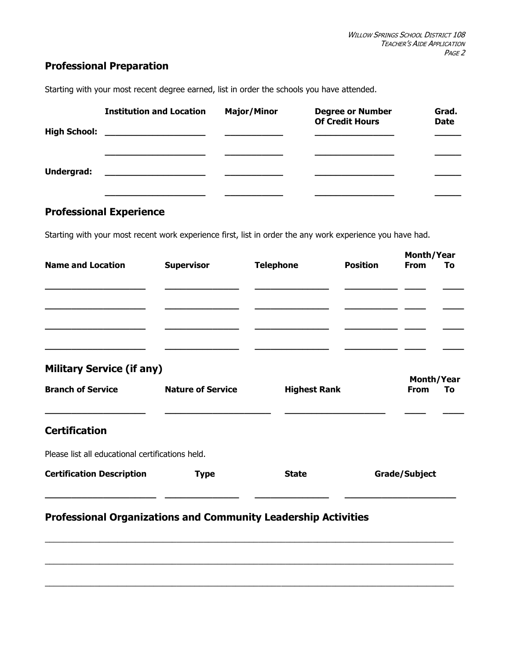# **Professional Preparation**

**Institution and Location Major/Minor Degree or Number Grad. Of Credit Hours Date High School: \_\_\_\_\_\_\_\_\_\_\_\_\_\_\_\_\_\_\_ \_\_\_\_\_\_\_\_\_\_\_ \_\_\_\_\_\_\_\_\_\_\_\_\_\_\_ \_\_\_\_\_ \_\_\_\_\_\_\_\_\_\_\_\_\_\_\_\_\_\_\_ \_\_\_\_\_\_\_\_\_\_\_ \_\_\_\_\_\_\_\_\_\_\_\_\_\_\_ \_\_\_\_\_ Undergrad: \_\_\_\_\_\_\_\_\_\_\_\_\_\_\_\_\_\_\_ \_\_\_\_\_\_\_\_\_\_\_ \_\_\_\_\_\_\_\_\_\_\_\_\_\_\_ \_\_\_\_\_ \_\_\_\_\_\_\_\_\_\_\_\_\_\_\_\_\_\_\_ \_\_\_\_\_\_\_\_\_\_\_ \_\_\_\_\_\_\_\_\_\_\_\_\_\_\_ \_\_\_\_\_**

Starting with your most recent degree earned, list in order the schools you have attended.

### **Professional Experience**

Starting with your most recent work experience first, list in order the any work experience you have had.

| <b>Name and Location</b>                                              | <b>Supervisor</b>        | <b>Telephone</b>    | <b>Position</b> | <b>Month/Year</b><br><b>From</b><br>To |  |
|-----------------------------------------------------------------------|--------------------------|---------------------|-----------------|----------------------------------------|--|
|                                                                       |                          |                     |                 |                                        |  |
|                                                                       |                          |                     |                 |                                        |  |
|                                                                       |                          |                     |                 |                                        |  |
| <b>Military Service (if any)</b>                                      |                          |                     |                 | Month/Year                             |  |
| <b>Branch of Service</b>                                              | <b>Nature of Service</b> | <b>Highest Rank</b> |                 | <b>From</b><br>To                      |  |
| <b>Certification</b>                                                  |                          |                     |                 |                                        |  |
| Please list all educational certifications held.                      |                          |                     |                 |                                        |  |
| <b>Certification Description</b>                                      | <b>Type</b>              | <b>State</b>        |                 | <b>Grade/Subject</b>                   |  |
| <b>Professional Organizations and Community Leadership Activities</b> |                          |                     |                 |                                        |  |
|                                                                       |                          |                     |                 |                                        |  |

\_\_\_\_\_\_\_\_\_\_\_\_\_\_\_\_\_\_\_\_\_\_\_\_\_\_\_\_\_\_\_\_\_\_\_\_\_\_\_\_\_\_\_\_\_\_\_\_\_\_\_\_\_\_\_\_\_\_\_\_\_\_\_\_\_\_\_\_\_\_\_\_\_\_\_\_\_\_\_\_\_\_\_\_\_\_\_\_\_\_

 $\_$  ,  $\_$  ,  $\_$  ,  $\_$  ,  $\_$  ,  $\_$  ,  $\_$  ,  $\_$  ,  $\_$  ,  $\_$  ,  $\_$  ,  $\_$  ,  $\_$  ,  $\_$  ,  $\_$  ,  $\_$  ,  $\_$  ,  $\_$  ,  $\_$  ,  $\_$  ,  $\_$  ,  $\_$  ,  $\_$  ,  $\_$  ,  $\_$  ,  $\_$  ,  $\_$  ,  $\_$  ,  $\_$  ,  $\_$  ,  $\_$  ,  $\_$  ,  $\_$  ,  $\_$  ,  $\_$  ,  $\_$  ,  $\_$  ,